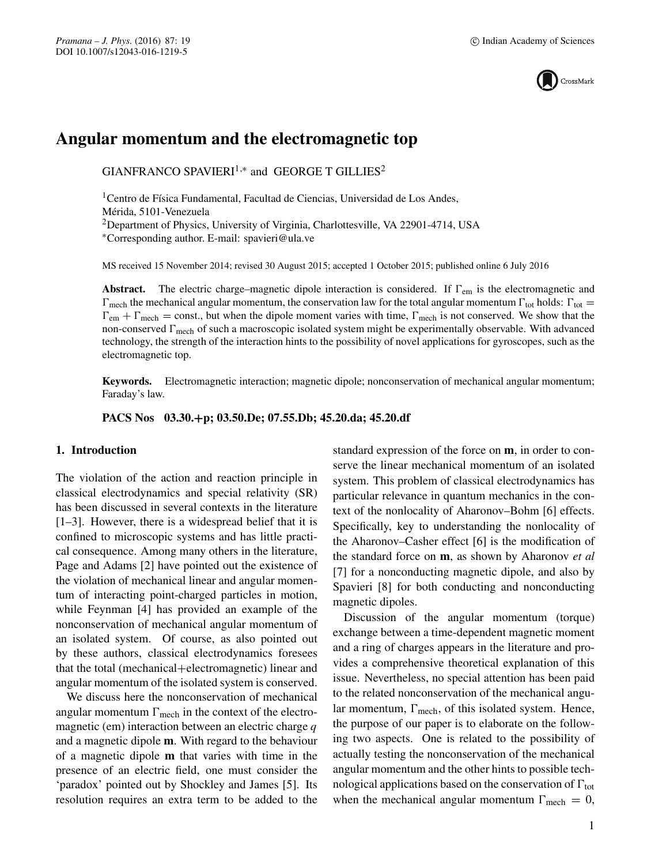

# **Angular momentum and the electromagnetic top**

 $GIANFRANCO SPAVIERI<sup>1,*</sup>$  and  $GEORGET GILLIES<sup>2</sup>$ 

<sup>1</sup> Centro de Física Fundamental, Facultad de Ciencias, Universidad de Los Andes, Mérida, 5101-Venezuela <sup>2</sup>Department of Physics, University of Virginia, Charlottesville, VA 22901-4714, USA

∗Corresponding author. E-mail: spavieri@ula.ve

MS received 15 November 2014; revised 30 August 2015; accepted 1 October 2015; published online 6 July 2016

**Abstract.** The electric charge–magnetic dipole interaction is considered. If  $\Gamma_{em}$  is the electromagnetic and  $\Gamma_{\text{mech}}$  the mechanical angular momentum, the conservation law for the total angular momentum  $\Gamma_{\text{tot}}$  holds:  $\Gamma_{\text{tot}} =$  $\Gamma_{\text{em}} + \Gamma_{\text{mech}} = \text{const.}$ , but when the dipole moment varies with time,  $\Gamma_{\text{mech}}$  is not conserved. We show that the non-conserved  $\Gamma_{\rm mech}$  of such a macroscopic isolated system might be experimentally observable. With advanced technology, the strength of the interaction hints to the possibility of novel applications for gyroscopes, such as the electromagnetic top.

**Keywords.** Electromagnetic interaction; magnetic dipole; nonconservation of mechanical angular momentum; Faraday's law.

**PACS Nos 03.30.+p; 03.50.De; 07.55.Db; 45.20.da; 45.20.df**

## **1. Introduction**

The violation of the action and reaction principle in classical electrodynamics and special relativity (SR) has been discussed in several contexts in the literature [1–3]. However, there is a widespread belief that it is confined to microscopic systems and has little practical consequence. Among many others in the literature, Page and Adams [2] have pointed out the existence of the violation of mechanical linear and angular momentum of interacting point-charged particles in motion, while Feynman [4] has provided an example of the nonconservation of mechanical angular momentum of an isolated system. Of course, as also pointed out by these authors, classical electrodynamics foresees that the total (mechanical+electromagnetic) linear and angular momentum of the isolated system is conserved.

We discuss here the nonconservation of mechanical angular momentum  $\Gamma_{\text{mech}}$  in the context of the electromagnetic (em) interaction between an electric charge  $q$ and a magnetic dipole **m**. With regard to the behaviour of a magnetic dipole **m** that varies with time in the presence of an electric field, one must consider the 'paradox' pointed out by Shockley and James [5]. Its resolution requires an extra term to be added to the standard expression of the force on **m**, in order to conserve the linear mechanical momentum of an isolated system. This problem of classical electrodynamics has particular relevance in quantum mechanics in the context of the nonlocality of Aharonov–Bohm [6] effects. Specifically, key to understanding the nonlocality of the Aharonov–Casher effect [6] is the modification of the standard force on **m**, as shown by Aharonov *et al* [7] for a nonconducting magnetic dipole, and also by Spavieri [8] for both conducting and nonconducting magnetic dipoles.

Discussion of the angular momentum (torque) exchange between a time-dependent magnetic moment and a ring of charges appears in the literature and provides a comprehensive theoretical explanation of this issue. Nevertheless, no special attention has been paid to the related nonconservation of the mechanical angular momentum,  $\Gamma_{\text{mech}}$ , of this isolated system. Hence, the purpose of our paper is to elaborate on the following two aspects. One is related to the possibility of actually testing the nonconservation of the mechanical angular momentum and the other hints to possible technological applications based on the conservation of  $\Gamma_{\rm tot}$ when the mechanical angular momentum  $\Gamma_{\text{mech}} = 0$ ,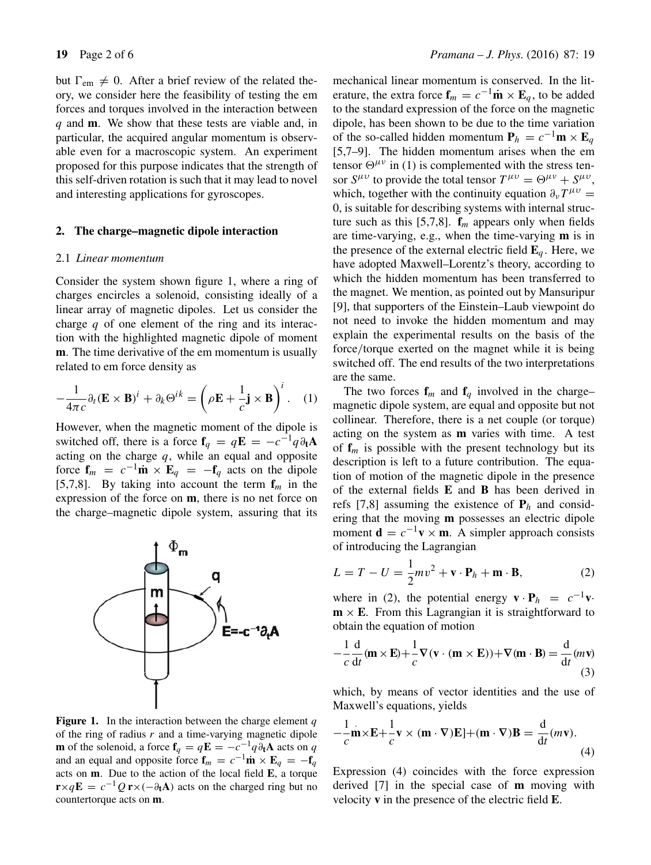but  $\Gamma_{em} \neq 0$ . After a brief review of the related theory, we consider here the feasibility of testing the em forces and torques involved in the interaction between q and **m**. We show that these tests are viable and, in particular, the acquired angular momentum is observable even for a macroscopic system. An experiment proposed for this purpose indicates that the strength of this self-driven rotation is such that it may lead to novel and interesting applications for gyroscopes.

#### **2. The charge–magnetic dipole interaction**

#### 2.1 *Linear momentum*

Consider the system shown figure 1, where a ring of charges encircles a solenoid, consisting ideally of a linear array of magnetic dipoles. Let us consider the charge  $q$  of one element of the ring and its interaction with the highlighted magnetic dipole of moment **m**. The time derivative of the em momentum is usually related to em force density as

$$
-\frac{1}{4\pi c}\partial_t (\mathbf{E} \times \mathbf{B})^i + \partial_k \Theta^{ik} = \left(\rho \mathbf{E} + \frac{1}{c}\mathbf{j} \times \mathbf{B}\right)^i.
$$
 (1)

However, when the magnetic moment of the dipole is switched off, there is a force  $f_q = qE = -c^{-1}q\partial_t A$ acting on the charge  $q$ , while an equal and opposite force  $\mathbf{f}_m = c^{-1} \dot{\mathbf{m}} \times \mathbf{E}_q = -\mathbf{f}_q$  acts on the dipole [5,7,8]. By taking into account the term  $f_m$  in the expression of the force on **m**, there is no net force on the charge–magnetic dipole system, assuring that its



**Figure 1.** In the interaction between the charge element  $q$ of the ring of radius  $r$  and a time-varying magnetic dipole **m** of the solenoid, a force  $\mathbf{f}_q = q\mathbf{E} = -c^{-1}q\partial_t\mathbf{A}$  acts on q and an equal and opposite force  $\mathbf{f}_m = c^{-1}\mathbf{m} \times \mathbf{E}_q = -\mathbf{f}_q$ acts on **m**. Due to the action of the local field **E**, a torque  $\mathbf{r} \times q\mathbf{E} = c^{-1}Q\mathbf{r} \times (-\partial_t \mathbf{A})$  acts on the charged ring but no countertorque acts on **m**.

mechanical linear momentum is conserved. In the literature, the extra force  $\mathbf{f}_m = c^{-1} \dot{\mathbf{m}} \times \mathbf{E}_a$ , to be added to the standard expression of the force on the magnetic dipole, has been shown to be due to the time variation of the so-called hidden momentum  $P_h = c^{-1}m \times E_a$ [5,7–9]. The hidden momentum arises when the em tensor  $\Theta^{\mu\nu}$  in (1) is complemented with the stress tensor  $S^{\mu\nu}$  to provide the total tensor  $T^{\mu\nu} = \Theta^{\mu\nu} + S^{\mu\nu}$ , which, together with the continuity equation  $\partial_{\nu}T^{\mu\nu} =$ 0, is suitable for describing systems with internal structure such as this [5,7,8].  $f_m$  appears only when fields are time-varying, e.g., when the time-varying **m** is in the presence of the external electric field  $\mathbf{E}_q$ . Here, we have adopted Maxwell–Lorentz's theory, according to which the hidden momentum has been transferred to the magnet. We mention, as pointed out by Mansuripur [9], that supporters of the Einstein–Laub viewpoint do not need to invoke the hidden momentum and may explain the experimental results on the basis of the force/torque exerted on the magnet while it is being switched off. The end results of the two interpretations are the same.

The two forces  $f_m$  and  $f_q$  involved in the charge– magnetic dipole system, are equal and opposite but not collinear. Therefore, there is a net couple (or torque) acting on the system as **m** varies with time. A test of  $f_m$  is possible with the present technology but its description is left to a future contribution. The equation of motion of the magnetic dipole in the presence of the external fields **E** and **B** has been derived in refs [7,8] assuming the existence of  $P_h$  and considering that the moving **m** possesses an electric dipole moment  $\mathbf{d} = c^{-1}\mathbf{v} \times \mathbf{m}$ . A simpler approach consists of introducing the Lagrangian

$$
L = T - U = \frac{1}{2}mv^2 + \mathbf{v} \cdot \mathbf{P}_h + \mathbf{m} \cdot \mathbf{B},
$$
 (2)

where in (2), the potential energy  $\mathbf{v} \cdot \mathbf{P}_h = c^{-1} \mathbf{v} \cdot$  $m \times E$ . From this Lagrangian it is straightforward to obtain the equation of motion

$$
-\frac{1}{c}\frac{d}{dt}(\mathbf{m}\times\mathbf{E}) + \frac{1}{c}\nabla(\mathbf{v}\cdot(\mathbf{m}\times\mathbf{E})) + \nabla(\mathbf{m}\cdot\mathbf{B}) = \frac{d}{dt}(m\mathbf{v})
$$
(3)

which, by means of vector identities and the use of Maxwell's equations, yields

$$
-\frac{1}{c}\mathbf{m}\times\mathbf{E}+\frac{1}{c}\mathbf{v}\times(\mathbf{m}\cdot\nabla)\mathbf{E}]+(\mathbf{m}\cdot\nabla)\mathbf{B}=\frac{d}{dt}(m\mathbf{v}).
$$
\n(4)

Expression (4) coincides with the force expression derived [7] in the special case of **m** moving with velocity **v** in the presence of the electric field **E**.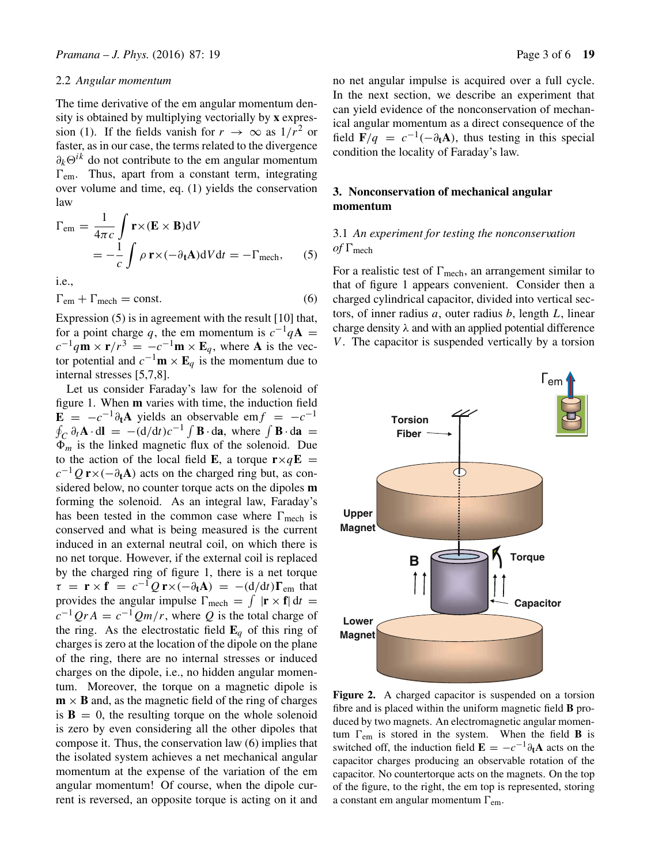#### 2.2 *Angular momentum*

The time derivative of the em angular momentum density is obtained by multiplying vectorially by **x** expression (1). If the fields vanish for  $r \to \infty$  as  $1/r^2$  or faster, as in our case, the terms related to the divergence  $\partial_k \Theta^{ik}$  do not contribute to the em angular momentum  $\Gamma$ <sub>em</sub>. Thus, apart from a constant term, integrating over volume and time, eq. (1) yields the conservation law

$$
\Gamma_{\text{em}} = \frac{1}{4\pi c} \int \mathbf{r} \times (\mathbf{E} \times \mathbf{B}) dV
$$
  
=  $-\frac{1}{c} \int \rho \mathbf{r} \times (-\partial_t \mathbf{A}) dV dt = -\Gamma_{\text{mech}},$  (5)

i.e.,

$$
\Gamma_{\rm em} + \Gamma_{\rm mech} = \text{const.} \tag{6}
$$

Expression (5) is in agreement with the result [10] that, for a point charge q, the em momentum is  $c^{-1}qA =$  $c^{-1}q\mathbf{m} \times \mathbf{r}/r^3 = -c^{-1}\mathbf{m} \times \mathbf{E}_q$ , where **A** is the vector potential and  $c^{-1}$ **m** × **E**<sub>q</sub> is the momentum due to internal stresses [5,7,8].

Let us consider Faraday's law for the solenoid of figure 1. When **m** varies with time, the induction field  $\mathbf{E} = -c^{-1}\partial_t \mathbf{A}$  yields an observable em $f = -c^{-1}$  $\oint_C \partial_t \mathbf{A} \cdot d\mathbf{l} = -(\frac{d}{dt})c^{-1} \int \mathbf{B} \cdot d\mathbf{a}$ , where  $\int \mathbf{B} \cdot d\mathbf{a} =$  $\Phi_m$  is the linked magnetic flux of the solenoid. Due to the action of the local field **E**, a torque  $\mathbf{r} \times q\mathbf{E}$  =  $c^{-1}Q$  **r**×( $-\partial_t$ **A**) acts on the charged ring but, as considered below, no counter torque acts on the dipoles **m** forming the solenoid. As an integral law, Faraday's has been tested in the common case where  $\Gamma_{\text{mech}}$  is conserved and what is being measured is the current induced in an external neutral coil, on which there is no net torque. However, if the external coil is replaced by the charged ring of figure 1, there is a net torque  $\tau = \mathbf{r} \times \mathbf{f} = c^{-1}Q\mathbf{r} \times (-\partial_t \mathbf{A}) = -(\frac{d}{dt})\Gamma_{\text{em}}$  that provides the angular impulse  $\Gamma_{\text{mech}} = \int |\mathbf{r} \times \mathbf{f}| dt =$  $c^{-1}QrA = c^{-1}Qm/r$ , where Q is the total charge of the ring. As the electrostatic field  $\mathbf{E}_q$  of this ring of charges is zero at the location of the dipole on the plane of the ring, there are no internal stresses or induced charges on the dipole, i.e., no hidden angular momentum. Moreover, the torque on a magnetic dipole is  $\mathbf{m} \times \mathbf{B}$  and, as the magnetic field of the ring of charges is  $\mathbf{B} = 0$ , the resulting torque on the whole solenoid is zero by even considering all the other dipoles that compose it. Thus, the conservation law (6) implies that the isolated system achieves a net mechanical angular momentum at the expense of the variation of the em angular momentum! Of course, when the dipole current is reversed, an opposite torque is acting on it and no net angular impulse is acquired over a full cycle. In the next section, we describe an experiment that can yield evidence of the nonconservation of mechanical angular momentum as a direct consequence of the field  $\overline{\mathbf{F}}/q = c^{-1}(-\partial_t \mathbf{A})$ , thus testing in this special condition the locality of Faraday's law.

# **3. Nonconservation of mechanical angular momentum**

# 3.1 *An experiment for testing the nonconser*v*ation*  $of \Gamma$ <sub>mech</sub>

For a realistic test of  $\Gamma_{\text{mech}}$ , an arrangement similar to that of figure 1 appears convenient. Consider then a charged cylindrical capacitor, divided into vertical sectors, of inner radius  $a$ , outer radius  $b$ , length  $L$ , linear charge density  $\lambda$  and with an applied potential difference  $V$ . The capacitor is suspended vertically by a torsion



**Figure 2.** A charged capacitor is suspended on a torsion fibre and is placed within the uniform magnetic field **B** produced by two magnets. An electromagnetic angular momentum  $\Gamma_{\text{em}}$  is stored in the system. When the field **B** is switched off, the induction field  $\mathbf{E} = -c^{-1}\partial_t\mathbf{A}$  acts on the capacitor charges producing an observable rotation of the capacitor. No countertorque acts on the magnets. On the top of the figure, to the right, the em top is represented, storing a constant em angular momentum  $\Gamma_{em}$ .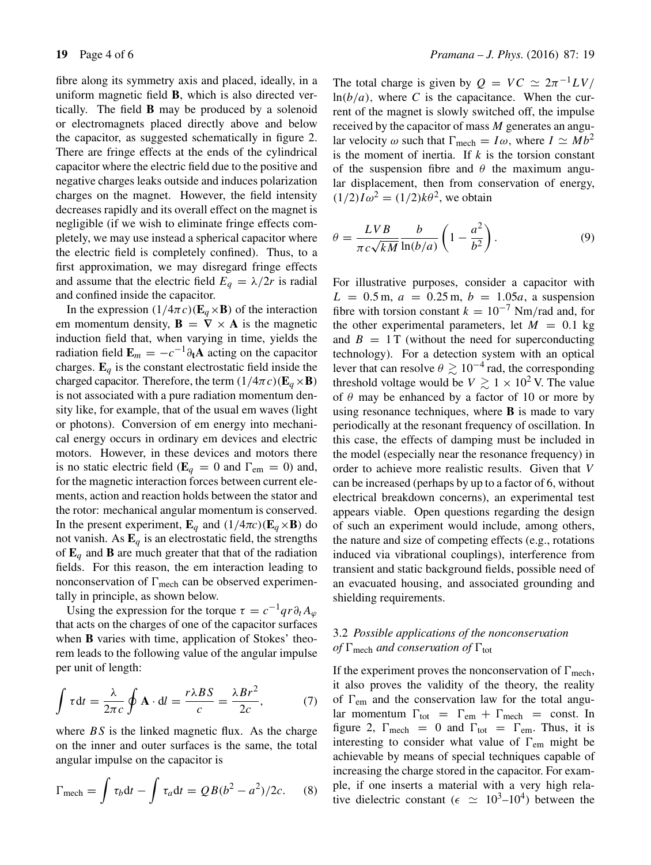fibre along its symmetry axis and placed, ideally, in a uniform magnetic field **B**, which is also directed vertically. The field **B** may be produced by a solenoid or electromagnets placed directly above and below the capacitor, as suggested schematically in figure 2. There are fringe effects at the ends of the cylindrical capacitor where the electric field due to the positive and negative charges leaks outside and induces polarization charges on the magnet. However, the field intensity decreases rapidly and its overall effect on the magnet is negligible (if we wish to eliminate fringe effects completely, we may use instead a spherical capacitor where the electric field is completely confined). Thus, to a first approximation, we may disregard fringe effects and assume that the electric field  $E_q = \lambda/2r$  is radial and confined inside the capacitor.

In the expression  $(1/4\pi c)(\mathbf{E}_q \times \mathbf{B})$  of the interaction em momentum density,  $\mathbf{B} = \nabla \times \mathbf{A}$  is the magnetic induction field that, when varying in time, yields the radiation field  $\mathbf{E}_m = -c^{-1}\partial_t\mathbf{A}$  acting on the capacitor charges.  $\mathbf{E}_q$  is the constant electrostatic field inside the charged capacitor. Therefore, the term  $(1/4\pi c)(\mathbf{E}_q \times \mathbf{B})$ is not associated with a pure radiation momentum density like, for example, that of the usual em waves (light or photons). Conversion of em energy into mechanical energy occurs in ordinary em devices and electric motors. However, in these devices and motors there is no static electric field ( $\mathbf{E}_q = 0$  and  $\Gamma_{em} = 0$ ) and, for the magnetic interaction forces between current elements, action and reaction holds between the stator and the rotor: mechanical angular momentum is conserved. In the present experiment,  $\mathbf{E}_q$  and  $(1/4\pi c)(\mathbf{E}_q \times \mathbf{B})$  do not vanish. As  $\mathbf{E}_q$  is an electrostatic field, the strengths of  $\mathbf{E}_q$  and **B** are much greater that that of the radiation fields. For this reason, the em interaction leading to nonconservation of  $\Gamma_{\text{mech}}$  can be observed experimentally in principle, as shown below.

Using the expression for the torque  $\tau = c^{-1}qr\partial_t A_\omega$ that acts on the charges of one of the capacitor surfaces when **B** varies with time, application of Stokes' theorem leads to the following value of the angular impulse per unit of length:

$$
\int \tau dt = \frac{\lambda}{2\pi c} \oint \mathbf{A} \cdot dl = \frac{r \lambda BS}{c} = \frac{\lambda Br^2}{2c},\tag{7}
$$

where  $BS$  is the linked magnetic flux. As the charge on the inner and outer surfaces is the same, the total angular impulse on the capacitor is

$$
\Gamma_{\text{mech}} = \int \tau_b \mathrm{d}t - \int \tau_a \mathrm{d}t = QB(b^2 - a^2)/2c. \quad (8)
$$

The total charge is given by  $Q = VC \approx 2\pi^{-1}LV/$  $ln(b/a)$ , where C is the capacitance. When the current of the magnet is slowly switched off, the impulse received by the capacitor of mass M generates an angular velocity  $\omega$  such that  $\Gamma_{\text{mech}} = I\omega$ , where  $I \simeq Mb^2$ is the moment of inertia. If  $k$  is the torsion constant of the suspension fibre and  $\theta$  the maximum angular displacement, then from conservation of energy,  $(1/2)I\omega^2 = (1/2)k\theta^2$ , we obtain

$$
\theta = \frac{LVB}{\pi c\sqrt{kM}} \frac{b}{\ln(b/a)} \left(1 - \frac{a^2}{b^2}\right).
$$
 (9)

For illustrative purposes, consider a capacitor with  $L = 0.5$  m,  $a = 0.25$  m,  $b = 1.05a$ , a suspension fibre with torsion constant  $k = 10^{-7}$  Nm/rad and, for the other experimental parameters, let  $M = 0.1$  kg and  $B = 1$  T (without the need for superconducting technology). For a detection system with an optical lever that can resolve  $\theta \gtrsim 10^{-4}$  rad, the corresponding threshold voltage would be  $V \gtrsim 1 \times 10^2$  V. The value of  $\theta$  may be enhanced by a factor of 10 or more by using resonance techniques, where **B** is made to vary periodically at the resonant frequency of oscillation. In this case, the effects of damping must be included in the model (especially near the resonance frequency) in order to achieve more realistic results. Given that V can be increased (perhaps by up to a factor of 6, without electrical breakdown concerns), an experimental test appears viable. Open questions regarding the design of such an experiment would include, among others, the nature and size of competing effects (e.g., rotations induced via vibrational couplings), interference from transient and static background fields, possible need of an evacuated housing, and associated grounding and shielding requirements.

# 3.2 *Possible applications of the nonconser*v*ation of*  $\Gamma$ <sub>mech</sub> *and conservation of*  $\Gamma$ <sub>tot</sub>

If the experiment proves the nonconservation of  $\Gamma_{\text{mech}}$ , it also proves the validity of the theory, the reality of  $\Gamma_{\text{em}}$  and the conservation law for the total angular momentum  $\Gamma_{\text{tot}} = \Gamma_{\text{em}} + \Gamma_{\text{mech}} = \text{const.}$  In figure 2,  $\Gamma_{\text{mech}} = 0$  and  $\Gamma_{\text{tot}} = \Gamma_{\text{em}}$ . Thus, it is interesting to consider what value of  $\Gamma_{\text{em}}$  might be achievable by means of special techniques capable of increasing the charge stored in the capacitor. For example, if one inserts a material with a very high relative dielectric constant ( $\epsilon \simeq 10^3$ –10<sup>4</sup>) between the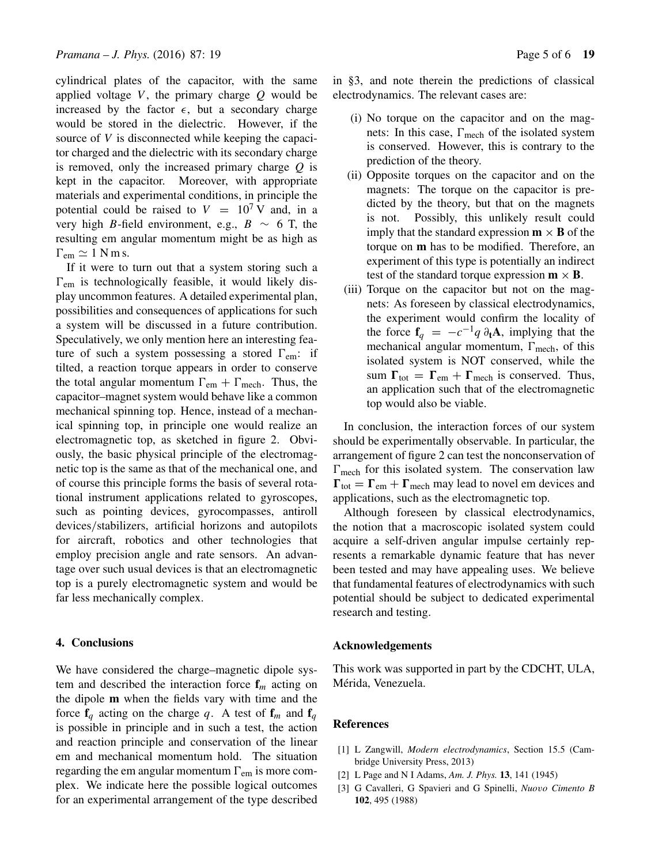cylindrical plates of the capacitor, with the same applied voltage  $V$ , the primary charge  $Q$  would be increased by the factor  $\epsilon$ , but a secondary charge would be stored in the dielectric. However, if the source of V is disconnected while keeping the capacitor charged and the dielectric with its secondary charge is removed, only the increased primary charge  $Q$  is kept in the capacitor. Moreover, with appropriate materials and experimental conditions, in principle the potential could be raised to  $V = 10^7 V$  and, in a very high B-field environment, e.g.,  $B \sim 6$  T, the resulting em angular momentum might be as high as  $\Gamma_{\text{em}} \simeq 1 \text{ N m s.}$ 

If it were to turn out that a system storing such a  $\Gamma_{\rm em}$  is technologically feasible, it would likely display uncommon features. A detailed experimental plan, possibilities and consequences of applications for such a system will be discussed in a future contribution. Speculatively, we only mention here an interesting feature of such a system possessing a stored  $\Gamma_{em}$ : if tilted, a reaction torque appears in order to conserve the total angular momentum  $\Gamma_{em} + \Gamma_{mech}$ . Thus, the capacitor–magnet system would behave like a common mechanical spinning top. Hence, instead of a mechanical spinning top, in principle one would realize an electromagnetic top, as sketched in figure 2. Obviously, the basic physical principle of the electromagnetic top is the same as that of the mechanical one, and of course this principle forms the basis of several rotational instrument applications related to gyroscopes, such as pointing devices, gyrocompasses, antiroll devices/stabilizers, artificial horizons and autopilots for aircraft, robotics and other technologies that employ precision angle and rate sensors. An advantage over such usual devices is that an electromagnetic top is a purely electromagnetic system and would be far less mechanically complex.

## **4. Conclusions**

We have considered the charge–magnetic dipole system and described the interaction force  $f_m$  acting on the dipole **m** when the fields vary with time and the force  $f_q$  acting on the charge q. A test of  $f_m$  and  $f_q$ is possible in principle and in such a test, the action and reaction principle and conservation of the linear em and mechanical momentum hold. The situation regarding the em angular momentum  $\Gamma_{\rm em}$  is more complex. We indicate here the possible logical outcomes for an experimental arrangement of the type described in §3, and note therein the predictions of classical electrodynamics. The relevant cases are:

- (i) No torque on the capacitor and on the magnets: In this case,  $\Gamma_{\text{mech}}$  of the isolated system is conserved. However, this is contrary to the prediction of the theory.
- (ii) Opposite torques on the capacitor and on the magnets: The torque on the capacitor is predicted by the theory, but that on the magnets is not. Possibly, this unlikely result could imply that the standard expression  $\mathbf{m} \times \mathbf{B}$  of the torque on **m** has to be modified. Therefore, an experiment of this type is potentially an indirect test of the standard torque expression  $m \times B$ .
- (iii) Torque on the capacitor but not on the magnets: As foreseen by classical electrodynamics, the experiment would confirm the locality of the force  $f_q = -c^{-1}q \partial_t A$ , implying that the mechanical angular momentum,  $\Gamma_{\text{mech}}$ , of this isolated system is NOT conserved, while the sum  $\Gamma_{\text{tot}} = \Gamma_{\text{em}} + \Gamma_{\text{mech}}$  is conserved. Thus, an application such that of the electromagnetic top would also be viable.

In conclusion, the interaction forces of our system should be experimentally observable. In particular, the arrangement of figure 2 can test the nonconservation of  $\Gamma_{\text{mech}}$  for this isolated system. The conservation law  $\Gamma_{\text{tot}} = \Gamma_{\text{em}} + \Gamma_{\text{mech}}$  may lead to novel em devices and applications, such as the electromagnetic top.

Although foreseen by classical electrodynamics, the notion that a macroscopic isolated system could acquire a self-driven angular impulse certainly represents a remarkable dynamic feature that has never been tested and may have appealing uses. We believe that fundamental features of electrodynamics with such potential should be subject to dedicated experimental research and testing.

### **Acknowledgements**

This work was supported in part by the CDCHT, ULA, Mérida, Venezuela.

### **References**

- [1] L Zangwill, *Modern electrodynamics*, Section 15.5 (Cambridge University Press, 2013)
- [2] L Page and N I Adams, *Am. J. Phys.* **13**, 141 (1945)
- [3] G Cavalleri, G Spavieri and G Spinelli, *Nuo*v*o Cimento B* **102**, 495 (1988)